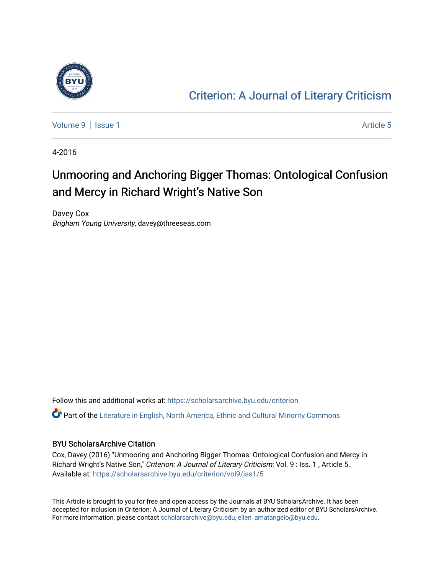

### [Criterion: A Journal of Literary Criticism](https://scholarsarchive.byu.edu/criterion)

[Volume 9](https://scholarsarchive.byu.edu/criterion/vol9) | [Issue 1](https://scholarsarchive.byu.edu/criterion/vol9/iss1) Article 5

4-2016

## Unmooring and Anchoring Bigger Thomas: Ontological Confusion and Mercy in Richard Wright's Native Son

Davey Cox Brigham Young University, davey@threeseas.com

Follow this and additional works at: [https://scholarsarchive.byu.edu/criterion](https://scholarsarchive.byu.edu/criterion?utm_source=scholarsarchive.byu.edu%2Fcriterion%2Fvol9%2Fiss1%2F5&utm_medium=PDF&utm_campaign=PDFCoverPages)  Part of the [Literature in English, North America, Ethnic and Cultural Minority Commons](http://network.bepress.com/hgg/discipline/459?utm_source=scholarsarchive.byu.edu%2Fcriterion%2Fvol9%2Fiss1%2F5&utm_medium=PDF&utm_campaign=PDFCoverPages)

#### BYU ScholarsArchive Citation

Cox, Davey (2016) "Unmooring and Anchoring Bigger Thomas: Ontological Confusion and Mercy in Richard Wright's Native Son," Criterion: A Journal of Literary Criticism: Vol. 9 : Iss. 1, Article 5. Available at: [https://scholarsarchive.byu.edu/criterion/vol9/iss1/5](https://scholarsarchive.byu.edu/criterion/vol9/iss1/5?utm_source=scholarsarchive.byu.edu%2Fcriterion%2Fvol9%2Fiss1%2F5&utm_medium=PDF&utm_campaign=PDFCoverPages) 

This Article is brought to you for free and open access by the Journals at BYU ScholarsArchive. It has been accepted for inclusion in Criterion: A Journal of Literary Criticism by an authorized editor of BYU ScholarsArchive. For more information, please contact [scholarsarchive@byu.edu, ellen\\_amatangelo@byu.edu](mailto:scholarsarchive@byu.edu,%20ellen_amatangelo@byu.edu).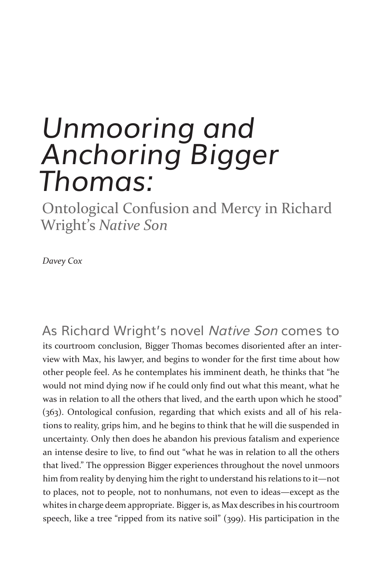# *Unmooring and Anchoring Bigger Thomas:*

Ontological Confusion and Mercy in Richard Wright's *Native Son*

*Davey Cox*

As Richard Wright's novel Native Son comes to its courtroom conclusion, Bigger Thomas becomes disoriented after an interview with Max, his lawyer, and begins to wonder for the first time about how other people feel. As he contemplates his imminent death, he thinks that "he would not mind dying now if he could only find out what this meant, what he was in relation to all the others that lived, and the earth upon which he stood" (363). Ontological confusion, regarding that which exists and all of his relations to reality, grips him, and he begins to think that he will die suspended in uncertainty. Only then does he abandon his previous fatalism and experience an intense desire to live, to find out "what he was in relation to all the others that lived." The oppression Bigger experiences throughout the novel unmoors him from reality by denying him the right to understand his relations to it—not to places, not to people, not to nonhumans, not even to ideas—except as the whites in charge deem appropriate. Bigger is, as Max describes in his courtroom speech, like a tree "ripped from its native soil" (399). His participation in the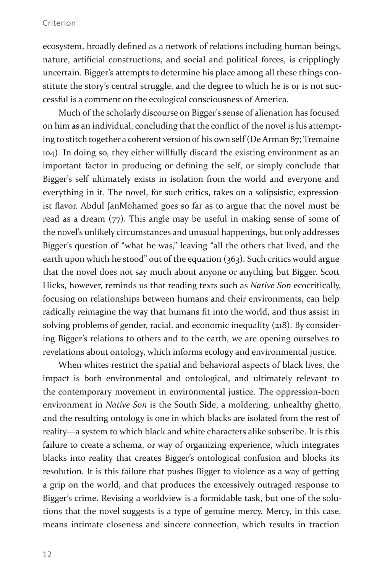ecosystem, broadly defined as a network of relations including human beings, nature, artificial constructions, and social and political forces, is cripplingly uncertain. Bigger's attempts to determine his place among all these things constitute the story's central struggle, and the degree to which he is or is not successful is a comment on the ecological consciousness of America.

Much of the scholarly discourse on Bigger's sense of alienation has focused on him as an individual, concluding that the conflict of the novel is his attempting to stitch together a coherent version of his own self (De Arman 87; Tremaine 104). In doing so, they either willfully discard the existing environment as an important factor in producing or defining the self, or simply conclude that Bigger's self ultimately exists in isolation from the world and everyone and everything in it. The novel, for such critics, takes on a solipsistic, expressionist flavor. Abdul JanMohamed goes so far as to argue that the novel must be read as a dream (77). This angle may be useful in making sense of some of the novel's unlikely circumstances and unusual happenings, but only addresses Bigger's question of "what he was," leaving "all the others that lived, and the earth upon which he stood" out of the equation (363). Such critics would argue that the novel does not say much about anyone or anything but Bigger. Scott Hicks, however, reminds us that reading texts such as *Native Son* ecocritically, focusing on relationships between humans and their environments, can help radically reimagine the way that humans fit into the world, and thus assist in solving problems of gender, racial, and economic inequality (218). By considering Bigger's relations to others and to the earth, we are opening ourselves to revelations about ontology, which informs ecology and environmental justice.

When whites restrict the spatial and behavioral aspects of black lives, the impact is both environmental and ontological, and ultimately relevant to the contemporary movement in environmental justice. The oppression-born environment in *Native Son* is the South Side, a moldering, unhealthy ghetto, and the resulting ontology is one in which blacks are isolated from the rest of reality—a system to which black and white characters alike subscribe. It is this failure to create a schema, or way of organizing experience, which integrates blacks into reality that creates Bigger's ontological confusion and blocks its resolution. It is this failure that pushes Bigger to violence as a way of getting a grip on the world, and that produces the excessively outraged response to Bigger's crime. Revising a worldview is a formidable task, but one of the solutions that the novel suggests is a type of genuine mercy. Mercy, in this case, means intimate closeness and sincere connection, which results in traction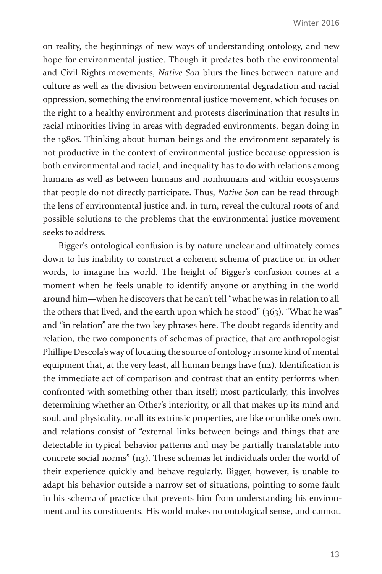on reality, the beginnings of new ways of understanding ontology, and new hope for environmental justice. Though it predates both the environmental and Civil Rights movements, *Native Son* blurs the lines between nature and culture as well as the division between environmental degradation and racial oppression, something the environmental justice movement, which focuses on the right to a healthy environment and protests discrimination that results in racial minorities living in areas with degraded environments, began doing in the 1980s. Thinking about human beings and the environment separately is not productive in the context of environmental justice because oppression is both environmental and racial, and inequality has to do with relations among humans as well as between humans and nonhumans and within ecosystems that people do not directly participate. Thus, *Native Son* can be read through the lens of environmental justice and, in turn, reveal the cultural roots of and possible solutions to the problems that the environmental justice movement seeks to address.

Bigger's ontological confusion is by nature unclear and ultimately comes down to his inability to construct a coherent schema of practice or, in other words, to imagine his world. The height of Bigger's confusion comes at a moment when he feels unable to identify anyone or anything in the world around him—when he discovers that he can't tell "what he was in relation to all the others that lived, and the earth upon which he stood" (363). "What he was" and "in relation" are the two key phrases here. The doubt regards identity and relation, the two components of schemas of practice, that are anthropologist Phillipe Descola's way of locating the source of ontology in some kind of mental equipment that, at the very least, all human beings have (112). Identification is the immediate act of comparison and contrast that an entity performs when confronted with something other than itself; most particularly, this involves determining whether an Other's interiority, or all that makes up its mind and soul, and physicality, or all its extrinsic properties, are like or unlike one's own, and relations consist of "external links between beings and things that are detectable in typical behavior patterns and may be partially translatable into concrete social norms" (113). These schemas let individuals order the world of their experience quickly and behave regularly. Bigger, however, is unable to adapt his behavior outside a narrow set of situations, pointing to some fault in his schema of practice that prevents him from understanding his environment and its constituents. His world makes no ontological sense, and cannot,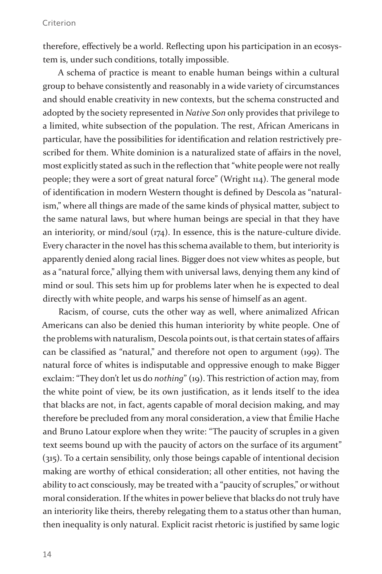therefore, effectively be a world. Reflecting upon his participation in an ecosystem is, under such conditions, totally impossible.

A schema of practice is meant to enable human beings within a cultural group to behave consistently and reasonably in a wide variety of circumstances and should enable creativity in new contexts, but the schema constructed and adopted by the society represented in *Native Son* only provides that privilege to a limited, white subsection of the population. The rest, African Americans in particular, have the possibilities for identification and relation restrictively prescribed for them. White dominion is a naturalized state of affairs in the novel, most explicitly stated as such in the reflection that "white people were not really people; they were a sort of great natural force" (Wright 114). The general mode of identification in modern Western thought is defined by Descola as "naturalism," where all things are made of the same kinds of physical matter, subject to the same natural laws, but where human beings are special in that they have an interiority, or mind/soul (174). In essence, this is the nature-culture divide. Every character in the novel has this schema available to them, but interiority is apparently denied along racial lines. Bigger does not view whites as people, but as a "natural force," allying them with universal laws, denying them any kind of mind or soul. This sets him up for problems later when he is expected to deal directly with white people, and warps his sense of himself as an agent.

Racism, of course, cuts the other way as well, where animalized African Americans can also be denied this human interiority by white people. One of the problems with naturalism, Descola points out, is that certain states of affairs can be classified as "natural," and therefore not open to argument (199). The natural force of whites is indisputable and oppressive enough to make Bigger exclaim: "They don't let us do *nothing*" (19). This restriction of action may, from the white point of view, be its own justification, as it lends itself to the idea that blacks are not, in fact, agents capable of moral decision making, and may therefore be precluded from any moral consideration, a view that Émilie Hache and Bruno Latour explore when they write: "The paucity of scruples in a given text seems bound up with the paucity of actors on the surface of its argument" (315). To a certain sensibility, only those beings capable of intentional decision making are worthy of ethical consideration; all other entities, not having the ability to act consciously, may be treated with a "paucity of scruples," or without moral consideration. If the whites in power believe that blacks do not truly have an interiority like theirs, thereby relegating them to a status other than human, then inequality is only natural. Explicit racist rhetoric is justified by same logic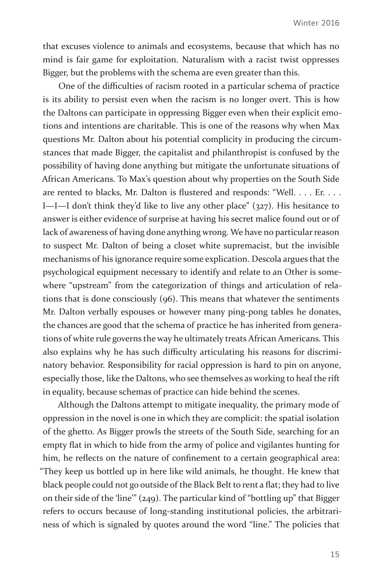that excuses violence to animals and ecosystems, because that which has no mind is fair game for exploitation. Naturalism with a racist twist oppresses Bigger, but the problems with the schema are even greater than this.

One of the difficulties of racism rooted in a particular schema of practice is its ability to persist even when the racism is no longer overt. This is how the Daltons can participate in oppressing Bigger even when their explicit emotions and intentions are charitable. This is one of the reasons why when Max questions Mr. Dalton about his potential complicity in producing the circumstances that made Bigger, the capitalist and philanthropist is confused by the possibility of having done anything but mitigate the unfortunate situations of African Americans. To Max's question about why properties on the South Side are rented to blacks, Mr. Dalton is flustered and responds: "Well. . . . Er. . . . I—I—I don't think they'd like to live any other place" (327). His hesitance to answer is either evidence of surprise at having his secret malice found out or of lack of awareness of having done anything wrong. We have no particular reason to suspect Mr. Dalton of being a closet white supremacist, but the invisible mechanisms of his ignorance require some explication. Descola argues that the psychological equipment necessary to identify and relate to an Other is somewhere "upstream" from the categorization of things and articulation of relations that is done consciously (96). This means that whatever the sentiments Mr. Dalton verbally espouses or however many ping-pong tables he donates, the chances are good that the schema of practice he has inherited from generations of white rule governs the way he ultimately treats African Americans. This also explains why he has such difficulty articulating his reasons for discriminatory behavior. Responsibility for racial oppression is hard to pin on anyone, especially those, like the Daltons, who see themselves as working to heal the rift in equality, because schemas of practice can hide behind the scenes.

Although the Daltons attempt to mitigate inequality, the primary mode of oppression in the novel is one in which they are complicit: the spatial isolation of the ghetto. As Bigger prowls the streets of the South Side, searching for an empty flat in which to hide from the army of police and vigilantes hunting for him, he reflects on the nature of confinement to a certain geographical area: "They keep us bottled up in here like wild animals, he thought. He knew that black people could not go outside of the Black Belt to rent a flat; they had to live on their side of the 'line'" (249). The particular kind of "bottling up" that Bigger refers to occurs because of long-standing institutional policies, the arbitrariness of which is signaled by quotes around the word "line." The policies that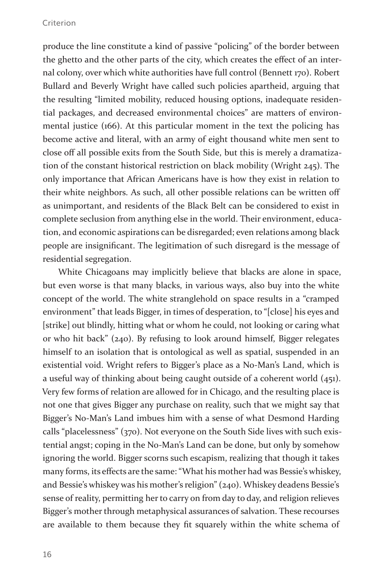produce the line constitute a kind of passive "policing" of the border between the ghetto and the other parts of the city, which creates the effect of an internal colony, over which white authorities have full control (Bennett 170). Robert Bullard and Beverly Wright have called such policies apartheid, arguing that the resulting "limited mobility, reduced housing options, inadequate residential packages, and decreased environmental choices" are matters of environmental justice (166). At this particular moment in the text the policing has become active and literal, with an army of eight thousand white men sent to close off all possible exits from the South Side, but this is merely a dramatization of the constant historical restriction on black mobility (Wright 245). The only importance that African Americans have is how they exist in relation to their white neighbors. As such, all other possible relations can be written off as unimportant, and residents of the Black Belt can be considered to exist in complete seclusion from anything else in the world. Their environment, education, and economic aspirations can be disregarded; even relations among black people are insignificant. The legitimation of such disregard is the message of residential segregation.

White Chicagoans may implicitly believe that blacks are alone in space, but even worse is that many blacks, in various ways, also buy into the white concept of the world. The white stranglehold on space results in a "cramped environment" that leads Bigger, in times of desperation, to "[close] his eyes and [strike] out blindly, hitting what or whom he could, not looking or caring what or who hit back" (240). By refusing to look around himself, Bigger relegates himself to an isolation that is ontological as well as spatial, suspended in an existential void. Wright refers to Bigger's place as a No-Man's Land, which is a useful way of thinking about being caught outside of a coherent world (451). Very few forms of relation are allowed for in Chicago, and the resulting place is not one that gives Bigger any purchase on reality, such that we might say that Bigger's No-Man's Land imbues him with a sense of what Desmond Harding calls "placelessness" (370). Not everyone on the South Side lives with such existential angst; coping in the No-Man's Land can be done, but only by somehow ignoring the world. Bigger scorns such escapism, realizing that though it takes many forms, its effects are the same: "What his mother had was Bessie's whiskey, and Bessie's whiskey was his mother's religion" (240). Whiskey deadens Bessie's sense of reality, permitting her to carry on from day to day, and religion relieves Bigger's mother through metaphysical assurances of salvation. These recourses are available to them because they fit squarely within the white schema of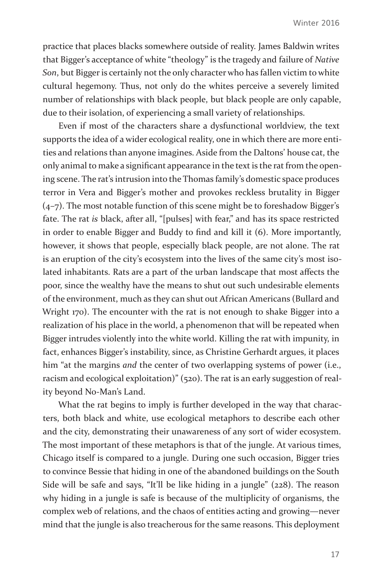practice that places blacks somewhere outside of reality. James Baldwin writes that Bigger's acceptance of white "theology" is the tragedy and failure of *Native Son*, but Bigger is certainly not the only character who has fallen victim to white cultural hegemony. Thus, not only do the whites perceive a severely limited number of relationships with black people, but black people are only capable, due to their isolation, of experiencing a small variety of relationships.

Even if most of the characters share a dysfunctional worldview, the text supports the idea of a wider ecological reality, one in which there are more entities and relations than anyone imagines. Aside from the Daltons' house cat, the only animal to make a significant appearance in the text is the rat from the opening scene. The rat's intrusion into the Thomas family's domestic space produces terror in Vera and Bigger's mother and provokes reckless brutality in Bigger (4–7). The most notable function of this scene might be to foreshadow Bigger's fate. The rat *is* black, after all, "[pulses] with fear," and has its space restricted in order to enable Bigger and Buddy to find and kill it (6). More importantly, however, it shows that people, especially black people, are not alone. The rat is an eruption of the city's ecosystem into the lives of the same city's most isolated inhabitants. Rats are a part of the urban landscape that most affects the poor, since the wealthy have the means to shut out such undesirable elements of the environment, much as they can shut out African Americans (Bullard and Wright 170). The encounter with the rat is not enough to shake Bigger into a realization of his place in the world, a phenomenon that will be repeated when Bigger intrudes violently into the white world. Killing the rat with impunity, in fact, enhances Bigger's instability, since, as Christine Gerhardt argues, it places him "at the margins *and* the center of two overlapping systems of power (i.e., racism and ecological exploitation)" (520). The rat is an early suggestion of reality beyond No-Man's Land.

What the rat begins to imply is further developed in the way that characters, both black and white, use ecological metaphors to describe each other and the city, demonstrating their unawareness of any sort of wider ecosystem. The most important of these metaphors is that of the jungle. At various times, Chicago itself is compared to a jungle. During one such occasion, Bigger tries to convince Bessie that hiding in one of the abandoned buildings on the South Side will be safe and says, "It'll be like hiding in a jungle" (228). The reason why hiding in a jungle is safe is because of the multiplicity of organisms, the complex web of relations, and the chaos of entities acting and growing—never mind that the jungle is also treacherous for the same reasons. This deployment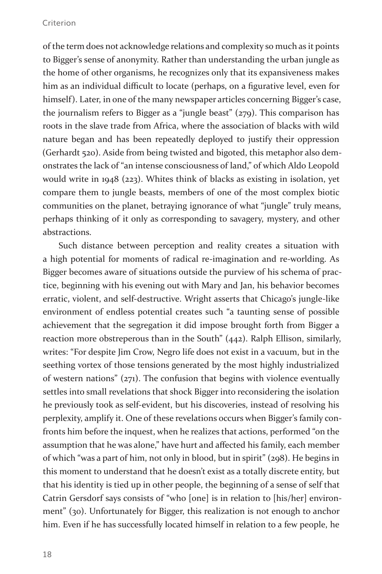of the term does not acknowledge relations and complexity so much as it points to Bigger's sense of anonymity. Rather than understanding the urban jungle as the home of other organisms, he recognizes only that its expansiveness makes him as an individual difficult to locate (perhaps, on a figurative level, even for himself). Later, in one of the many newspaper articles concerning Bigger's case, the journalism refers to Bigger as a "jungle beast" (279). This comparison has roots in the slave trade from Africa, where the association of blacks with wild nature began and has been repeatedly deployed to justify their oppression (Gerhardt 520). Aside from being twisted and bigoted, this metaphor also demonstrates the lack of "an intense consciousness of land," of which Aldo Leopold would write in 1948 (223). Whites think of blacks as existing in isolation, yet compare them to jungle beasts, members of one of the most complex biotic communities on the planet, betraying ignorance of what "jungle" truly means, perhaps thinking of it only as corresponding to savagery, mystery, and other abstractions.

Such distance between perception and reality creates a situation with a high potential for moments of radical re-imagination and re-worlding. As Bigger becomes aware of situations outside the purview of his schema of practice, beginning with his evening out with Mary and Jan, his behavior becomes erratic, violent, and self-destructive. Wright asserts that Chicago's jungle-like environment of endless potential creates such "a taunting sense of possible achievement that the segregation it did impose brought forth from Bigger a reaction more obstreperous than in the South" (442). Ralph Ellison, similarly, writes: "For despite Jim Crow, Negro life does not exist in a vacuum, but in the seething vortex of those tensions generated by the most highly industrialized of western nations" (271). The confusion that begins with violence eventually settles into small revelations that shock Bigger into reconsidering the isolation he previously took as self-evident, but his discoveries, instead of resolving his perplexity, amplify it. One of these revelations occurs when Bigger's family confronts him before the inquest, when he realizes that actions, performed "on the assumption that he was alone," have hurt and affected his family, each member of which "was a part of him, not only in blood, but in spirit" (298). He begins in this moment to understand that he doesn't exist as a totally discrete entity, but that his identity is tied up in other people, the beginning of a sense of self that Catrin Gersdorf says consists of "who [one] is in relation to [his/her] environment" (30). Unfortunately for Bigger, this realization is not enough to anchor him. Even if he has successfully located himself in relation to a few people, he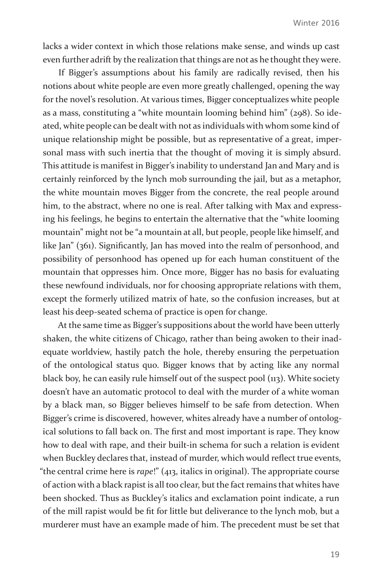lacks a wider context in which those relations make sense, and winds up cast even further adrift by the realization that things are not as he thought they were.

If Bigger's assumptions about his family are radically revised, then his notions about white people are even more greatly challenged, opening the way for the novel's resolution. At various times, Bigger conceptualizes white people as a mass, constituting a "white mountain looming behind him" (298). So ideated, white people can be dealt with not as individuals with whom some kind of unique relationship might be possible, but as representative of a great, impersonal mass with such inertia that the thought of moving it is simply absurd. This attitude is manifest in Bigger's inability to understand Jan and Mary and is certainly reinforced by the lynch mob surrounding the jail, but as a metaphor, the white mountain moves Bigger from the concrete, the real people around him, to the abstract, where no one is real. After talking with Max and expressing his feelings, he begins to entertain the alternative that the "white looming mountain" might not be "a mountain at all, but people, people like himself, and like Jan" (361). Significantly, Jan has moved into the realm of personhood, and possibility of personhood has opened up for each human constituent of the mountain that oppresses him. Once more, Bigger has no basis for evaluating these newfound individuals, nor for choosing appropriate relations with them, except the formerly utilized matrix of hate, so the confusion increases, but at least his deep-seated schema of practice is open for change.

At the same time as Bigger's suppositions about the world have been utterly shaken, the white citizens of Chicago, rather than being awoken to their inadequate worldview, hastily patch the hole, thereby ensuring the perpetuation of the ontological status quo. Bigger knows that by acting like any normal black boy, he can easily rule himself out of the suspect pool (113). White society doesn't have an automatic protocol to deal with the murder of a white woman by a black man, so Bigger believes himself to be safe from detection. When Bigger's crime is discovered, however, whites already have a number of ontological solutions to fall back on. The first and most important is rape. They know how to deal with rape, and their built-in schema for such a relation is evident when Buckley declares that, instead of murder, which would reflect true events, "the central crime here is *rape*!" (413, italics in original). The appropriate course of action with a black rapist is all too clear, but the fact remains that whites have been shocked. Thus as Buckley's italics and exclamation point indicate, a run of the mill rapist would be fit for little but deliverance to the lynch mob, but a murderer must have an example made of him. The precedent must be set that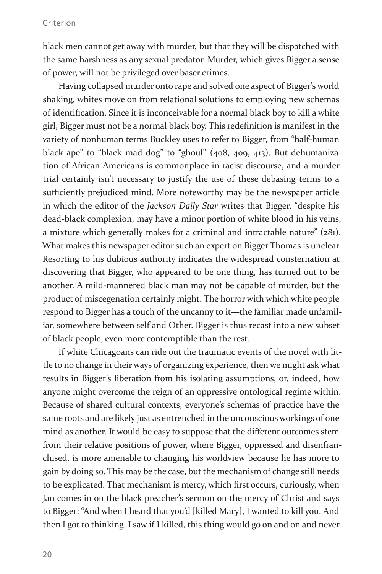black men cannot get away with murder, but that they will be dispatched with the same harshness as any sexual predator. Murder, which gives Bigger a sense of power, will not be privileged over baser crimes.

Having collapsed murder onto rape and solved one aspect of Bigger's world shaking, whites move on from relational solutions to employing new schemas of identification. Since it is inconceivable for a normal black boy to kill a white girl, Bigger must not be a normal black boy. This redefinition is manifest in the variety of nonhuman terms Buckley uses to refer to Bigger, from "half-human black ape" to "black mad dog" to "ghoul" (408, 409, 413). But dehumanization of African Americans is commonplace in racist discourse, and a murder trial certainly isn't necessary to justify the use of these debasing terms to a sufficiently prejudiced mind. More noteworthy may be the newspaper article in which the editor of the *Jackson Daily Star* writes that Bigger, "despite his dead-black complexion, may have a minor portion of white blood in his veins, a mixture which generally makes for a criminal and intractable nature" (281). What makes this newspaper editor such an expert on Bigger Thomas is unclear. Resorting to his dubious authority indicates the widespread consternation at discovering that Bigger, who appeared to be one thing, has turned out to be another. A mild-mannered black man may not be capable of murder, but the product of miscegenation certainly might. The horror with which white people respond to Bigger has a touch of the uncanny to it—the familiar made unfamiliar, somewhere between self and Other. Bigger is thus recast into a new subset of black people, even more contemptible than the rest.

If white Chicagoans can ride out the traumatic events of the novel with little to no change in their ways of organizing experience, then we might ask what results in Bigger's liberation from his isolating assumptions, or, indeed, how anyone might overcome the reign of an oppressive ontological regime within. Because of shared cultural contexts, everyone's schemas of practice have the same roots and are likely just as entrenched in the unconscious workings of one mind as another. It would be easy to suppose that the different outcomes stem from their relative positions of power, where Bigger, oppressed and disenfranchised, is more amenable to changing his worldview because he has more to gain by doing so. This may be the case, but the mechanism of change still needs to be explicated. That mechanism is mercy, which first occurs, curiously, when Jan comes in on the black preacher's sermon on the mercy of Christ and says to Bigger: "And when I heard that you'd [killed Mary], I wanted to kill you. And then I got to thinking. I saw if I killed, this thing would go on and on and never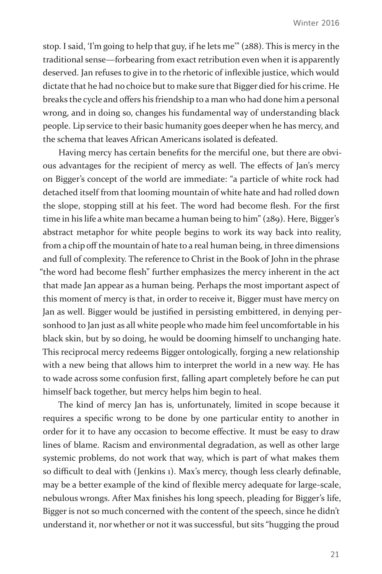stop. I said, 'I'm going to help that guy, if he lets me'" (288). This is mercy in the traditional sense—forbearing from exact retribution even when it is apparently deserved. Jan refuses to give in to the rhetoric of inflexible justice, which would dictate that he had no choice but to make sure that Bigger died for his crime. He breaks the cycle and offers his friendship to a man who had done him a personal wrong, and in doing so, changes his fundamental way of understanding black people. Lip service to their basic humanity goes deeper when he has mercy, and the schema that leaves African Americans isolated is defeated.

Having mercy has certain benefits for the merciful one, but there are obvious advantages for the recipient of mercy as well. The effects of Jan's mercy on Bigger's concept of the world are immediate: "a particle of white rock had detached itself from that looming mountain of white hate and had rolled down the slope, stopping still at his feet. The word had become flesh. For the first time in his life a white man became a human being to him" (289). Here, Bigger's abstract metaphor for white people begins to work its way back into reality, from a chip off the mountain of hate to a real human being, in three dimensions and full of complexity. The reference to Christ in the Book of John in the phrase "the word had become flesh" further emphasizes the mercy inherent in the act that made Jan appear as a human being. Perhaps the most important aspect of this moment of mercy is that, in order to receive it, Bigger must have mercy on Jan as well. Bigger would be justified in persisting embittered, in denying personhood to Jan just as all white people who made him feel uncomfortable in his black skin, but by so doing, he would be dooming himself to unchanging hate. This reciprocal mercy redeems Bigger ontologically, forging a new relationship with a new being that allows him to interpret the world in a new way. He has to wade across some confusion first, falling apart completely before he can put himself back together, but mercy helps him begin to heal.

The kind of mercy Jan has is, unfortunately, limited in scope because it requires a specific wrong to be done by one particular entity to another in order for it to have any occasion to become effective. It must be easy to draw lines of blame. Racism and environmental degradation, as well as other large systemic problems, do not work that way, which is part of what makes them so difficult to deal with (Jenkins 1). Max's mercy, though less clearly definable, may be a better example of the kind of flexible mercy adequate for large-scale, nebulous wrongs. After Max finishes his long speech, pleading for Bigger's life, Bigger is not so much concerned with the content of the speech, since he didn't understand it, nor whether or not it was successful, but sits "hugging the proud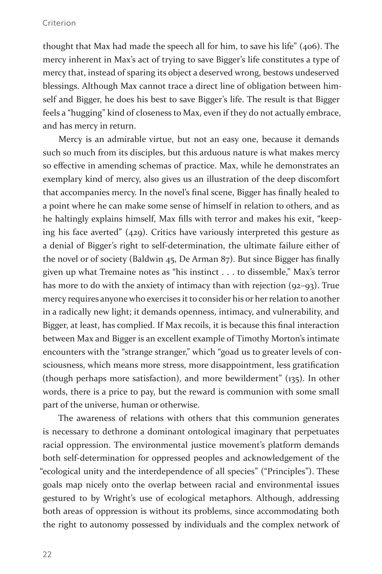thought that Max had made the speech all for him, to save his life" (406). The mercy inherent in Max's act of trying to save Bigger's life constitutes a type of mercy that, instead of sparing its object a deserved wrong, bestows undeserved blessings. Although Max cannot trace a direct line of obligation between himself and Bigger, he does his best to save Bigger's life. The result is that Bigger feels a "hugging" kind of closeness to Max, even if they do not actually embrace, and has mercy in return.

Mercy is an admirable virtue, but not an easy one, because it demands such so much from its disciples, but this arduous nature is what makes mercy so effective in amending schemas of practice. Max, while he demonstrates an exemplary kind of mercy, also gives us an illustration of the deep discomfort that accompanies mercy. In the novel's final scene, Bigger has finally healed to a point where he can make some sense of himself in relation to others, and as he haltingly explains himself, Max fills with terror and makes his exit, "keeping his face averted" (429). Critics have variously interpreted this gesture as a denial of Bigger's right to self-determination, the ultimate failure either of the novel or of society (Baldwin 45, De Arman 87). But since Bigger has finally given up what Tremaine notes as "his instinct . . . to dissemble," Max's terror has more to do with the anxiety of intimacy than with rejection (92-93). True mercy requires anyone who exercises it to consider his or her relation to another in a radically new light; it demands openness, intimacy, and vulnerability, and Bigger, at least, has complied. If Max recoils, it is because this final interaction between Max and Bigger is an excellent example of Timothy Morton's intimate encounters with the "strange stranger," which "goad us to greater levels of consciousness, which means more stress, more disappointment, less gratification (though perhaps more satisfaction), and more bewilderment" (135). In other words, there is a price to pay, but the reward is communion with some small part of the universe, human or otherwise.

The awareness of relations with others that this communion generates is necessary to dethrone a dominant ontological imaginary that perpetuates racial oppression. The environmental justice movement's platform demands both self-determination for oppressed peoples and acknowledgement of the "ecological unity and the interdependence of all species" ("Principles"). These goals map nicely onto the overlap between racial and environmental issues gestured to by Wright's use of ecological metaphors. Although, addressing both areas of oppression is without its problems, since accommodating both the right to autonomy possessed by individuals and the complex network of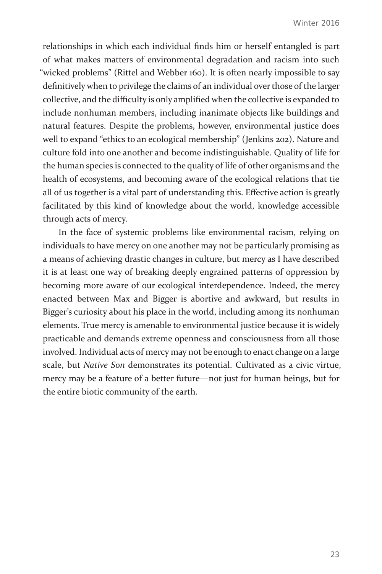relationships in which each individual finds him or herself entangled is part of what makes matters of environmental degradation and racism into such "wicked problems" (Rittel and Webber 160). It is often nearly impossible to say definitively when to privilege the claims of an individual over those of the larger collective, and the difficulty is only amplified when the collective is expanded to include nonhuman members, including inanimate objects like buildings and natural features. Despite the problems, however, environmental justice does well to expand "ethics to an ecological membership" (Jenkins 202). Nature and culture fold into one another and become indistinguishable. Quality of life for the human species is connected to the quality of life of other organisms and the health of ecosystems, and becoming aware of the ecological relations that tie all of us together is a vital part of understanding this. Effective action is greatly facilitated by this kind of knowledge about the world, knowledge accessible through acts of mercy.

In the face of systemic problems like environmental racism, relying on individuals to have mercy on one another may not be particularly promising as a means of achieving drastic changes in culture, but mercy as I have described it is at least one way of breaking deeply engrained patterns of oppression by becoming more aware of our ecological interdependence. Indeed, the mercy enacted between Max and Bigger is abortive and awkward, but results in Bigger's curiosity about his place in the world, including among its nonhuman elements. True mercy is amenable to environmental justice because it is widely practicable and demands extreme openness and consciousness from all those involved. Individual acts of mercy may not be enough to enact change on a large scale, but *Native Son* demonstrates its potential. Cultivated as a civic virtue, mercy may be a feature of a better future—not just for human beings, but for the entire biotic community of the earth.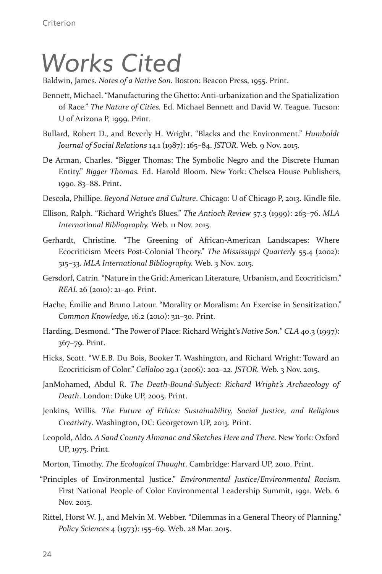## *Works Cited*

Baldwin, James. *Notes of a Native Son.* Boston: Beacon Press, 1955. Print.

- Bennett, Michael. "Manufacturing the Ghetto: Anti-urbanization and the Spatialization of Race." *The Nature of Cities.* Ed. Michael Bennett and David W. Teague. Tucson: U of Arizona P, 1999. Print.
- Bullard, Robert D., and Beverly H. Wright. "Blacks and the Environment." *Humboldt Journal of Social Relations* 14.1 (1987): 165–84. *JSTOR.* Web. 9 Nov. 2015.
- De Arman, Charles. "Bigger Thomas: The Symbolic Negro and the Discrete Human Entity." *Bigger Thomas.* Ed. Harold Bloom. New York: Chelsea House Publishers, 1990. 83–88. Print.
- Descola, Phillipe. *Beyond Nature and Culture*. Chicago: U of Chicago P, 2013. Kindle file.
- Ellison, Ralph. "Richard Wright's Blues." *The Antioch Review* 57.3 (1999): 263–76. *MLA International Bibliography.* Web. 11 Nov. 2015.
- Gerhardt, Christine. "The Greening of African-American Landscapes: Where Ecocriticism Meets Post-Colonial Theory." *The Mississippi Quarterly* 55.4 (2002): 515–33. *MLA International Bibliography.* Web. 3 Nov. 2015.
- Gersdorf, Catrin. "Nature in the Grid: American Literature, Urbanism, and Ecocriticism." *REAL* 26 (2010): 21–40. Print.
- Hache, Émilie and Bruno Latour. "Morality or Moralism: An Exercise in Sensitization." *Common Knowledge,* 16.2 (2010): 311–30. Print.
- Harding, Desmond. "The Power of Place: Richard Wright's *Native Son.*" *CLA* 40.3 (1997): 367–79. Print.
- Hicks, Scott. "W.E.B. Du Bois, Booker T. Washington, and Richard Wright: Toward an Ecocriticism of Color." *Callaloo* 29.1 (2006): 202–22. *JSTOR.* Web. 3 Nov. 2015.
- JanMohamed, Abdul R. *The Death-Bound-Subject: Richard Wright's Archaeology of Death*. London: Duke UP, 2005. Print.
- Jenkins, Willis. *The Future of Ethics: Sustainability, Social Justice, and Religious Creativity*. Washington, DC: Georgetown UP, 2013. Print.
- Leopold, Aldo. *A Sand County Almanac and Sketches Here and There.* New York: Oxford UP, 1975. Print.
- Morton, Timothy. *The Ecological Thought*. Cambridge: Harvard UP, 2010. Print.
- "Principles of Environmental Justice." *Environmental Justice/Environmental Racism.*  First National People of Color Environmental Leadership Summit, 1991. Web. 6 Nov. 2015.
- Rittel, Horst W. J., and Melvin M. Webber. "Dilemmas in a General Theory of Planning." *Policy Sciences* 4 (1973): 155–69. Web. 28 Mar. 2015.